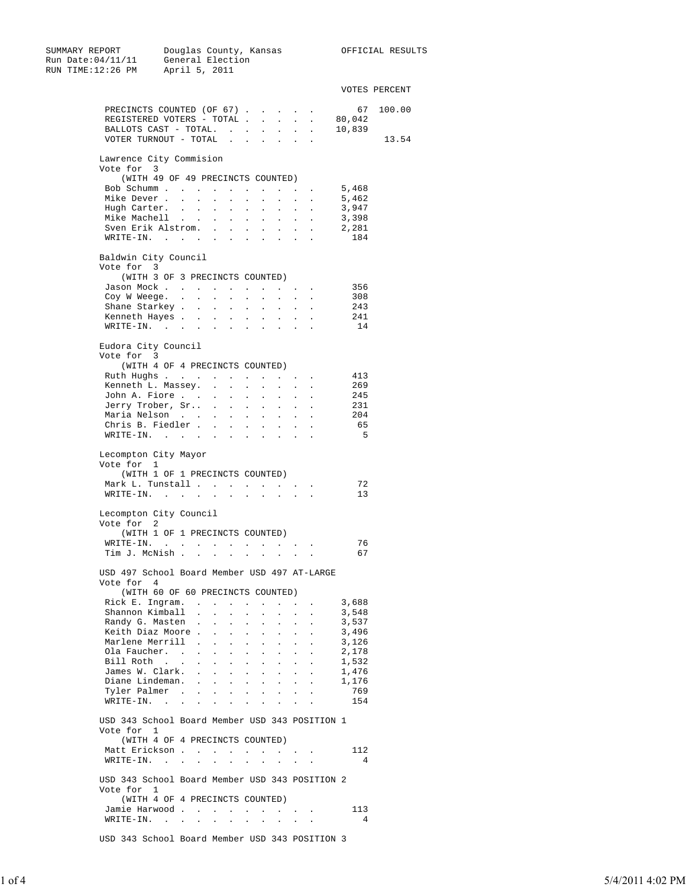| SUMMARY REPORT<br>Run Date:04/11/11                                          |                  |                                    |                                                             |                                         |                                              |                                                    |                                                                                                                              |                                                                          |                  | Douglas County, Kansas                  OFFICIAL RESULTS<br>General Election |
|------------------------------------------------------------------------------|------------------|------------------------------------|-------------------------------------------------------------|-----------------------------------------|----------------------------------------------|----------------------------------------------------|------------------------------------------------------------------------------------------------------------------------------|--------------------------------------------------------------------------|------------------|------------------------------------------------------------------------------|
| RUN TIME:12:26 PM April 5, 2011                                              |                  |                                    |                                                             |                                         |                                              |                                                    |                                                                                                                              |                                                                          |                  |                                                                              |
|                                                                              |                  |                                    |                                                             |                                         |                                              |                                                    |                                                                                                                              |                                                                          |                  | VOTES PERCENT                                                                |
| PRECINCTS COUNTED (OF 67).                                                   |                  |                                    |                                                             |                                         |                                              |                                                    |                                                                                                                              |                                                                          |                  | 67 100.00                                                                    |
| REGISTERED VOTERS - TOTAL<br>BALLOTS CAST - TOTAL.                           |                  |                                    |                                                             |                                         |                                              |                                                    |                                                                                                                              |                                                                          | 80,042<br>10,839 |                                                                              |
| VOTER TURNOUT - TOTAL                                                        |                  |                                    |                                                             |                                         |                                              | $\sim$<br>$\sim$ 100 $\mu$                         | <b>All Cards</b><br>$\mathcal{L}^{\text{max}}$ and                                                                           |                                                                          |                  | 13.54                                                                        |
| Lawrence City Commision<br>Vote for 3                                        |                  |                                    |                                                             |                                         |                                              |                                                    |                                                                                                                              |                                                                          |                  |                                                                              |
| (WITH 49 OF 49 PRECINCTS COUNTED)                                            |                  |                                    |                                                             |                                         |                                              |                                                    |                                                                                                                              |                                                                          |                  |                                                                              |
| Bob Schumm                                                                   |                  | $\ddot{\phantom{0}}$               | $\mathbf{L} = \mathbf{L}$                                   |                                         |                                              |                                                    |                                                                                                                              |                                                                          | 5,468            |                                                                              |
| Mike Dever<br>Hugh Carter.                                                   |                  | $\sim$ $-$<br>$\ddot{\phantom{0}}$ | $\sim$<br>$\sim$                                            | $\sim 10^{-11}$<br>$\ddot{\phantom{a}}$ | $\ddot{\phantom{a}}$<br>$\ddot{\phantom{a}}$ | $\ddot{\phantom{a}}$                               | $\mathbf{r} = \mathbf{r} \times \mathbf{r}$ , where $\mathbf{r} = \mathbf{r} \times \mathbf{r}$<br>$\mathbf{L} = \mathbf{L}$ |                                                                          | 5,462<br>3,947   |                                                                              |
| Mike Machell                                                                 |                  | $\Box$                             | $\bullet$                                                   | $\ddot{\phantom{0}}$                    | $\ddot{\phantom{a}}$                         | $\mathcal{L}^{\mathcal{L}}$                        | $\mathcal{L}^{\text{max}}$                                                                                                   | $\ddot{\phantom{0}}$                                                     | 3,398            |                                                                              |
| Sven Erik Alstrom.                                                           |                  |                                    |                                                             | $\ddot{\phantom{0}}$                    | $\ddot{\phantom{0}}$                         | $\ddot{\phantom{a}}$                               | $\sim$ $\sim$ $\sim$                                                                                                         |                                                                          | 2,281            |                                                                              |
| $\mathtt{WRTTE-IN.} \qquad \qquad \ldots \qquad \qquad \ldots \qquad \ldots$ |                  |                                    |                                                             |                                         | $\blacksquare$                               |                                                    | and the control of                                                                                                           |                                                                          | 184              |                                                                              |
| Baldwin City Council<br>Vote for 3                                           |                  |                                    |                                                             |                                         |                                              |                                                    |                                                                                                                              |                                                                          |                  |                                                                              |
| (WITH 3 OF 3 PRECINCTS COUNTED)                                              |                  |                                    |                                                             |                                         |                                              |                                                    |                                                                                                                              |                                                                          |                  |                                                                              |
| Jason Mock<br>Coy W Weege. .                                                 |                  |                                    |                                                             |                                         |                                              |                                                    |                                                                                                                              |                                                                          | 356<br>308       |                                                                              |
| Shane Starkey                                                                | $\sim$ 10 $\pm$  | $\sim$                             | $\mathcal{L}^{\mathcal{L}}$<br>$\mathcal{L}_{\mathrm{max}}$ | $\sim$<br>$\ddot{\phantom{0}}$          | $\sim$<br>$\ddot{\phantom{a}}$               | $\sim$<br>$\ddot{\phantom{a}}$                     | $\mathcal{L}^{\text{max}}$<br>$\Box$                                                                                         | $\ddot{\phantom{0}}$<br>$\ddot{\phantom{a}}$                             | 243              |                                                                              |
| Kenneth Hayes                                                                |                  | $\sim 100$                         | $\sim$ 10 $\pm$                                             | $\mathcal{L}^{\text{max}}$              | $\sim$                                       | $\bullet$ .                                        |                                                                                                                              |                                                                          | 241              |                                                                              |
| $WRITE-IN.$                                                                  |                  |                                    | <b>Contract</b>                                             | $\ddot{\phantom{0}}$                    | $\ddot{\phantom{a}}$                         | $\ddot{\phantom{0}}$                               | $\ddot{\phantom{a}}$                                                                                                         | $\ddot{\phantom{a}}$                                                     | 14               |                                                                              |
| Eudora City Council<br>Vote for 3                                            |                  |                                    |                                                             |                                         |                                              |                                                    |                                                                                                                              |                                                                          |                  |                                                                              |
| (WITH 4 OF 4 PRECINCTS COUNTED)                                              |                  |                                    |                                                             |                                         |                                              |                                                    |                                                                                                                              |                                                                          |                  |                                                                              |
| Ruth Hughs                                                                   |                  |                                    |                                                             |                                         | $\sim$                                       |                                                    | $\cdot$ $\cdot$ $\cdot$                                                                                                      |                                                                          | 413              |                                                                              |
| Kenneth L. Massey. .<br>John A. Fiore                                        |                  |                                    |                                                             | <b>Service Control</b>                  | $\sim$                                       |                                                    | <b>All Contracts</b>                                                                                                         |                                                                          | 269<br>245       |                                                                              |
| Jerry Trober, Sr                                                             |                  | $\sim$                             | $\sim$                                                      | $\ddot{\phantom{0}}$                    | $\ddot{\phantom{0}}$                         | $\sim$                                             | $\sim$                                                                                                                       |                                                                          | 231              |                                                                              |
| Maria Nelson                                                                 |                  | $\bullet$                          | $\ddot{\phantom{a}}$                                        | $\ddot{\phantom{0}}$                    | $\ddot{\phantom{a}}$                         | $\ddot{\phantom{a}}$                               | $\ddot{\phantom{a}}$                                                                                                         | $\ddot{\phantom{a}}$                                                     | 204              |                                                                              |
| Chris B. Fiedler                                                             |                  |                                    | $\sim$ $-$                                                  | $\mathbf{a} = \mathbf{a}$               | $\bullet$ .                                  | $\sim$                                             | $\sim$                                                                                                                       | $\cdot$                                                                  | 65               |                                                                              |
| $\texttt{WRTTE-IN.}$                                                         |                  |                                    |                                                             | $\blacksquare$                          | $\ddot{\phantom{a}}$                         | $\bullet$                                          | $\ddot{\phantom{a}}$                                                                                                         | $\cdot$                                                                  | 5                |                                                                              |
| Lecompton City Mayor<br>Vote for 1                                           |                  |                                    |                                                             |                                         |                                              |                                                    |                                                                                                                              |                                                                          |                  |                                                                              |
| (WITH 1 OF 1 PRECINCTS COUNTED)                                              |                  |                                    |                                                             |                                         |                                              |                                                    |                                                                                                                              |                                                                          |                  |                                                                              |
| Mark L. Tunstall<br>WRITE-IN.                                                |                  |                                    |                                                             |                                         |                                              |                                                    | $\mathbf{z} = \mathbf{z} + \mathbf{z}$ , where $\mathbf{z}$                                                                  |                                                                          | 72<br>13         |                                                                              |
| Lecompton City Council<br>Vote for 2                                         |                  |                                    |                                                             |                                         |                                              |                                                    |                                                                                                                              |                                                                          |                  |                                                                              |
| (WITH 1 OF 1 PRECINCTS COUNTED)                                              |                  |                                    |                                                             |                                         |                                              |                                                    |                                                                                                                              |                                                                          |                  |                                                                              |
| WRITE-IN.                                                                    |                  |                                    |                                                             |                                         |                                              |                                                    |                                                                                                                              |                                                                          | 76               |                                                                              |
| Tim J. McNish                                                                |                  |                                    |                                                             |                                         |                                              |                                                    |                                                                                                                              |                                                                          | 67               |                                                                              |
| USD 497 School Board Member USD 497 AT-LARGE                                 |                  |                                    |                                                             |                                         |                                              |                                                    |                                                                                                                              |                                                                          |                  |                                                                              |
| Vote for 4                                                                   |                  |                                    |                                                             |                                         |                                              |                                                    |                                                                                                                              |                                                                          |                  |                                                                              |
| (WITH 60 OF 60 PRECINCTS COUNTED)                                            |                  |                                    |                                                             |                                         |                                              |                                                    |                                                                                                                              |                                                                          |                  |                                                                              |
| Rick E. Ingram.<br>Shannon Kimball .                                         |                  | $\sim$                             | $\ddot{\phantom{0}}$                                        | $\mathcal{L}^{\text{max}}$              | $\ddot{\phantom{a}}$                         | $\sim$                                             | $\sim$                                                                                                                       | $\ddot{\phantom{0}}$                                                     | 3,688<br>3,548   |                                                                              |
| Randy G. Masten.                                                             |                  | $\sim$                             | $\sim$                                                      | $\sim$ $-$                              | $\ddot{\phantom{a}}$                         | $\sim$                                             | $\mathcal{L}^{\text{max}}$                                                                                                   | $\ddot{\phantom{a}}$                                                     | 3,537            |                                                                              |
| Keith Diaz Moore.                                                            |                  | $\sim$                             | $\sim$                                                      | $\sim$                                  | $\ddot{\phantom{a}}$                         | $\ddot{\phantom{0}}$                               | $\ddot{\phantom{0}}$                                                                                                         |                                                                          | 3,496            |                                                                              |
| Marlene Merrill .                                                            |                  | $\bullet$                          | $\sim$                                                      | $\epsilon$                              | $\ddot{\phantom{a}}$                         | $\sim$                                             | $\mathcal{L}^{\text{max}}$                                                                                                   | $\ddot{\phantom{0}}$                                                     | 3,126            |                                                                              |
| Ola Faucher. .<br>Bill Roth                                                  | $\sim$<br>$\sim$ | $\sim$<br>$\sim$                   | $\mathcal{L}^{\text{max}}$<br>$\sim$                        | $\ddot{\phantom{a}}$<br>$\sim$          | $\sim$<br>$\sim$                             | $\ddot{\phantom{a}}$<br>$\mathcal{L}^{\text{max}}$ | $\sim$<br>$\mathcal{L}^{\text{max}}$                                                                                         | $\sim$<br>$\mathbb{Z}^{\mathbb{Z}}$                                      | 2,178<br>1,532   |                                                                              |
| James W. Clark. .                                                            |                  | $\sim$                             | $\mathbf{L} = \mathbf{L}$                                   |                                         | $\sim$                                       | $\sim$                                             | $\mathcal{L}^{\text{max}}$ and $\mathcal{L}^{\text{max}}$                                                                    |                                                                          | 1,476            |                                                                              |
| Diane Lindeman. .                                                            |                  | $\sim$                             |                                                             | <b>All Contracts</b>                    | $\sim$                                       | $\sim$                                             | $\mathcal{L}^{\text{max}}$ and $\mathcal{L}^{\text{max}}$                                                                    |                                                                          | 1,176            |                                                                              |
| Tyler Palmer                                                                 |                  |                                    |                                                             |                                         |                                              |                                                    | $\cdot$ $\cdot$ $\cdot$                                                                                                      |                                                                          | 769<br>154       |                                                                              |
| WRITE-IN.                                                                    |                  |                                    |                                                             |                                         |                                              |                                                    |                                                                                                                              |                                                                          |                  |                                                                              |
| USD 343 School Board Member USD 343 POSITION 1<br>Vote for 1                 |                  |                                    |                                                             |                                         |                                              |                                                    |                                                                                                                              |                                                                          |                  |                                                                              |
| (WITH 4 OF 4 PRECINCTS COUNTED)                                              |                  |                                    |                                                             |                                         |                                              |                                                    |                                                                                                                              |                                                                          |                  |                                                                              |
| Matt Erickson 112                                                            |                  |                                    |                                                             |                                         |                                              |                                                    |                                                                                                                              |                                                                          | $\overline{4}$   |                                                                              |
| WRITE-IN.                                                                    |                  |                                    |                                                             |                                         |                                              |                                                    |                                                                                                                              |                                                                          |                  |                                                                              |
| USD 343 School Board Member USD 343 POSITION 2<br>Vote for 1                 |                  |                                    |                                                             |                                         |                                              |                                                    |                                                                                                                              |                                                                          |                  |                                                                              |
| (WITH 4 OF 4 PRECINCTS COUNTED)                                              |                  |                                    |                                                             |                                         |                                              |                                                    |                                                                                                                              |                                                                          |                  |                                                                              |
| Jamie Harwood<br>WRITE-IN.                                                   |                  |                                    |                                                             |                                         |                                              |                                                    |                                                                                                                              | $\mathbf{z} = \mathbf{z} + \mathbf{z}$ , where $\mathbf{z} = \mathbf{z}$ | 113<br>4         |                                                                              |
| USD 343 School Board Member USD 343 POSITION 3                               |                  |                                    |                                                             |                                         |                                              |                                                    |                                                                                                                              |                                                                          |                  |                                                                              |
|                                                                              |                  |                                    |                                                             |                                         |                                              |                                                    |                                                                                                                              |                                                                          |                  |                                                                              |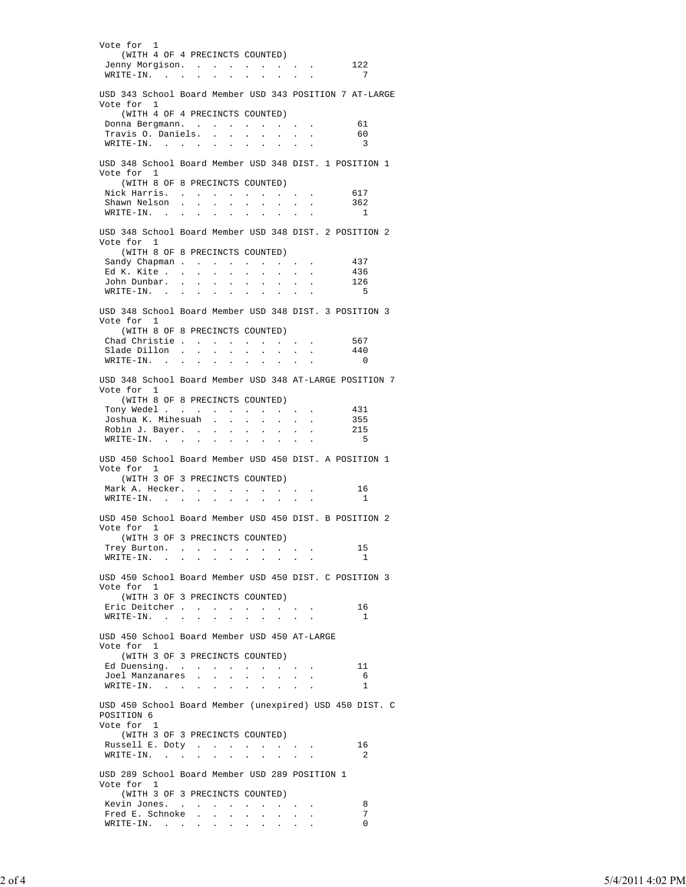Vote for 1 (WITH 4 OF 4 PRECINCTS COUNTED) Jenny Morgison. . . . . . . . . 122 WRITE-IN. . . . . . . . . . . . . . 7 USD 343 School Board Member USD 343 POSITION 7 AT-LARGE Vote for 1 (WITH 4 OF 4 PRECINCTS COUNTED) Donna Bergmann. . . . . . . . . 61 Travis O. Daniels. . . . . . . . 60  $WRTTE-IN.$  . . . . . . . . . . . . . 3 USD 348 School Board Member USD 348 DIST. 1 POSITION 1 Vote for 1 (WITH 8 OF 8 PRECINCTS COUNTED) Nick Harris. . . . . . . . . . . 617 Shawn Nelson . . . . . . . . . 362 WRITE-IN. . . . . . . . . . . 1 USD 348 School Board Member USD 348 DIST. 2 POSITION 2 Vote for 1 (WITH 8 OF 8 PRECINCTS COUNTED) Sandy Chapman . . . . . . . . . 437 Ed K. Kite . . . . . . . . . . 436 John Dunbar. . . . . . . . . . 126 WRITE-IN. . . . . . . . . . . . . . 5 USD 348 School Board Member USD 348 DIST. 3 POSITION 3 Vote for 1 (WITH 8 OF 8 PRECINCTS COUNTED) Chad Christie . . . . . . . . . 567 Slade Dillon . . . . . . . . . 440 WRITE-IN. . . . . . . . . . . 0 USD 348 School Board Member USD 348 AT-LARGE POSITION 7 Vote for 1 (WITH 8 OF 8 PRECINCTS COUNTED) Tony Wedel . . . . . . . . . . 431 Joshua K. Mihesuah . . . . . . . 355 Robin J. Bayer. . . . . . . . . 215 WRITE-IN. . . . . . . . . . . . . . 5 USD 450 School Board Member USD 450 DIST. A POSITION 1 Vote for 1 (WITH 3 OF 3 PRECINCTS COUNTED) Mark A. Hecker. . . . . . . . . . 16 WRITE-IN. . . . . . . . . . . 1 USD 450 School Board Member USD 450 DIST. B POSITION 2 Vote for 1 (WITH 3 OF 3 PRECINCTS COUNTED) Trey Burton. . . . . . . . . . . . 15 WRITE-IN. . . . . . . . . . . . . 1 USD 450 School Board Member USD 450 DIST. C POSITION 3 Vote for 1 (WITH 3 OF 3 PRECINCTS COUNTED) Eric Deitcher . . . . . . . . . . . 16 WRITE-IN. . . . . . . . . . . . . 1 USD 450 School Board Member USD 450 AT-LARGE Vote for 1 (WITH 3 OF 3 PRECINCTS COUNTED) Ed Duensing. . . . . . . . . . . . . 11 Joel Manzanares . . . . . . . . 6 WRITE-IN. . . . . . . . . . . 1 USD 450 School Board Member (unexpired) USD 450 DIST. C POSITION 6 Vote for 1 (WITH 3 OF 3 PRECINCTS COUNTED) Russell E. Doty . . . . . . . . . . 16  $WRTTE-IN.$  . . . . . . . . . . . . . 2 USD 289 School Board Member USD 289 POSITION 1 Vote for 1 (WITH 3 OF 3 PRECINCTS COUNTED) Kevin Jones. . . . . . . . . . 8 Fred E. Schnoke . . . . . . . . . . . 7 WRITE-IN. . . . . . . . . . . 0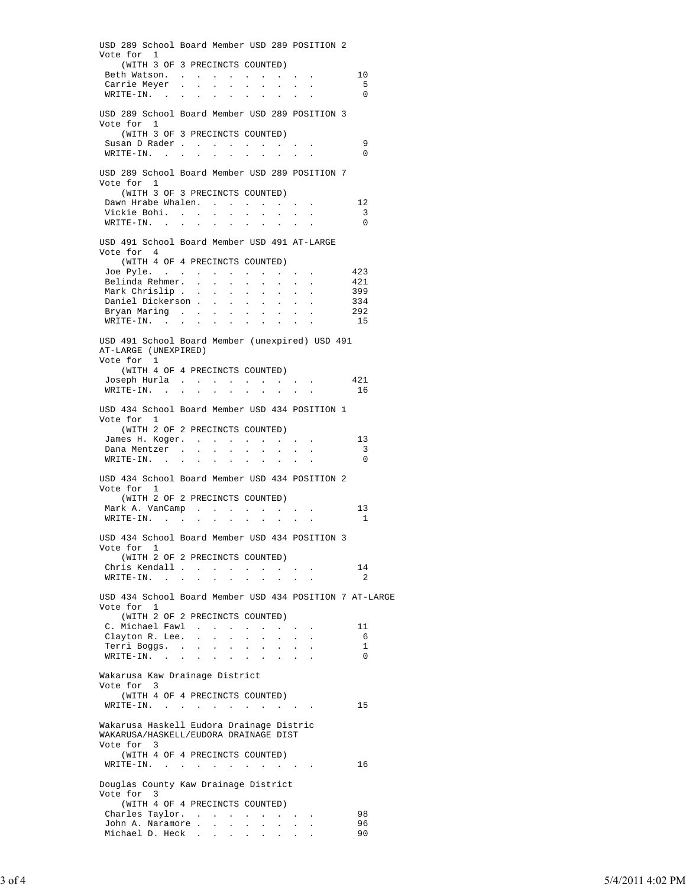USD 289 School Board Member USD 289 POSITION 2 Vote for 1 (WITH 3 OF 3 PRECINCTS COUNTED) Beth Watson. . . . . . . . . . . . . 10 Carrie Meyer . . . . . . . . . . . . 5 WRITE-IN. . . . . . . . . . . 0 USD 289 School Board Member USD 289 POSITION 3 Vote for 1 (WITH 3 OF 3 PRECINCTS COUNTED) Susan D Rader . . . . . . . . . . . . 9<br>WRITE-IN. . . . . . . . . . . . . . 0  $\mathtt{WRTTE-IN.} \quad . \quad . \quad . \quad . \quad . \quad . \quad . \quad . \quad . \quad .$  USD 289 School Board Member USD 289 POSITION 7 Vote for 1 (WITH 3 OF 3 PRECINCTS COUNTED) Dawn Hrabe Whalen. . . . . . . . 12 Vickie Bohi. . . . . . . . . . 3  $\texttt{WRTTE-IN.}$  . . . . . . . . . . . . . 0 USD 491 School Board Member USD 491 AT-LARGE Vote for 4 (WITH 4 OF 4 PRECINCTS COUNTED) Joe Pyle. . . . . . . . . . . 423 Belinda Rehmer. . . . . . . . . 421 Mark Chrislip . . . . . . . . . . . 399<br>Daniel Dickerson . . . . . . . . . 334 Daniel Dickerson . . . . . . . . . 334 Bryan Maring . . . . . . . . . . . 292 WRITE-IN. . . . . . . . . . . 15 USD 491 School Board Member (unexpired) USD 491 AT-LARGE (UNEXPIRED) Vote for 1 (WITH 4 OF 4 PRECINCTS COUNTED) Joseph Hurla . . . . . . . . . 421 WRITE-IN. . . . . . . . . . . 16 USD 434 School Board Member USD 434 POSITION 1 Vote for 1 (WITH 2 OF 2 PRECINCTS COUNTED) James H. Koger. . . . . . . . . . . 13<br>Dana Mentzer . . . . . . . . . . . . 3 Dana Mentzer . . . . . . . . . . . . 3  $\texttt{WRTTE-IN.}$  . . . . . . . . . . . . . 0 USD 434 School Board Member USD 434 POSITION 2 Vote for 1 (WITH 2 OF 2 PRECINCTS COUNTED) Mark A. VanCamp . . . . . . . . 13 WRITE-IN. . . . . . . . . . . . . 1 USD 434 School Board Member USD 434 POSITION 3 Vote for 1 (WITH 2 OF 2 PRECINCTS COUNTED) Chris Kendall . . . . . . . . . 14  $\texttt{WRTTE-IN.}$  . . . . . . . . . . . . . 2 USD 434 School Board Member USD 434 POSITION 7 AT-LARGE Vote for 1 (WITH 2 OF 2 PRECINCTS COUNTED) C. Michael Fawl . . . . . . . . . 11<br>Clayton R. Lee. . . . . . . . . . . . . 6 Clayton R. Lee. . . . . . . . . 6 Terri Boggs. . . . . . . . . . 1 WRITE-IN. . . . . . . . . . 0 Wakarusa Kaw Drainage District Vote for 3 (WITH 4 OF 4 PRECINCTS COUNTED) WRITE-IN. . . . . . . . . . . 15 Wakarusa Haskell Eudora Drainage Distric WAKARUSA/HASKELL/EUDORA DRAINAGE DIST Vote for 3 (WITH 4 OF 4 PRECINCTS COUNTED) WRITE-IN. . . . . . . . . . . 16 Douglas County Kaw Drainage District Vote for 3 (WITH 4 OF 4 PRECINCTS COUNTED) Charles Taylor. . . . . . . . . . 98<br>John A. Naramore John A. Naramore . . . . Michael D. Heck . . . . . . . . 90